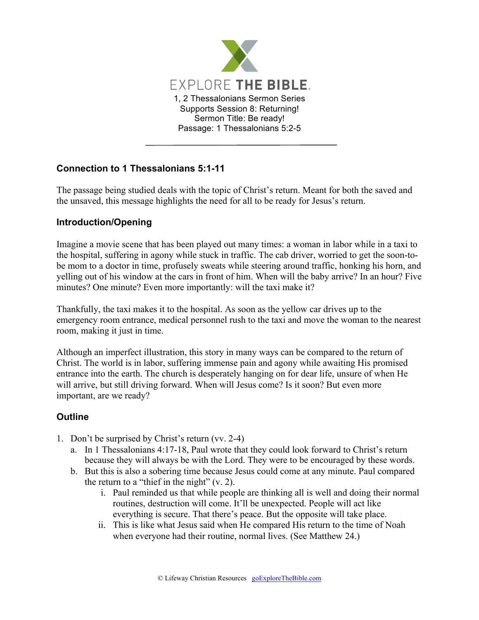

## **Connection to 1 Thessalonians 5:1-11**

The passage being studied deals with the topic of Christ's return. Meant for both the saved and the unsaved, this message highlights the need for all to be ready for Jesus's return.

## **Introduction/Opening**

Imagine a movie scene that has been played out many times: a woman in labor while in a taxi to the hospital, suffering in agony while stuck in traffic. The cab driver, worried to get the soon-tobe mom to a doctor in time, profusely sweats while steering around traffic, honking his horn, and yelling out of his window at the cars in front of him. When will the baby arrive? In an hour? Five minutes? One minute? Even more importantly: will the taxi make it?

Thankfully, the taxi makes it to the hospital. As soon as the yellow car drives up to the emergency room entrance, medical personnel rush to the taxi and move the woman to the nearest room, making it just in time.

Although an imperfect illustration, this story in many ways can be compared to the return of Christ. The world is in labor, suffering immense pain and agony while awaiting His promised entrance into the earth. The church is desperately hanging on for dear life, unsure of when He will arrive, but still driving forward. When will Jesus come? Is it soon? But even more important, are we ready?

## **Outline**

- 1. Don't be surprised by Christ's return (vv. 2-4)
	- a. In 1 Thessalonians 4:17-18, Paul wrote that they could look forward to Christ's return because they will always be with the Lord. They were to be encouraged by these words.
	- b. But this is also a sobering time because Jesus could come at any minute. Paul compared the return to a "thief in the night" (v. 2).
		- i. Paul reminded us that while people are thinking all is well and doing their normal routines, destruction will come. It'll be unexpected. People will act like everything is secure. That there's peace. But the opposite will take place.
		- ii. This is like what Jesus said when He compared His return to the time of Noah when everyone had their routine, normal lives. (See Matthew 24.)